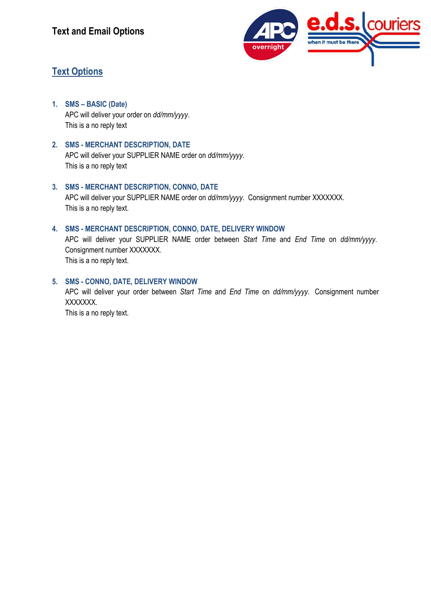

## **Text Options**

- **1. SMS – BASIC (Date)** APC will deliver your order on *dd/mm/yyyy*. This is a no reply text
- **2. SMS - MERCHANT DESCRIPTION, DATE** APC will deliver your SUPPLIER NAME order on *dd/mm/yyyy*.

This is a no reply text

- **3. SMS - MERCHANT DESCRIPTION, CONNO, DATE** APC will deliver your SUPPLIER NAME order on *dd/mm/yyyy*. Consignment number XXXXXXX. This is a no reply text.
- **4. SMS - MERCHANT DESCRIPTION, CONNO, DATE, DELIVERY WINDOW**

APC will deliver your SUPPLIER NAME order between *Start Time* and *End Time* on *dd/mm/yyyy*. Consignment number XXXXXXX. This is a no reply text.

**5. SMS - CONNO, DATE, DELIVERY WINDOW**

APC will deliver your order between *Start Time* and *End Time* on *dd/mm/yyyy*. Consignment number XXXXXXX. This is a no reply text.